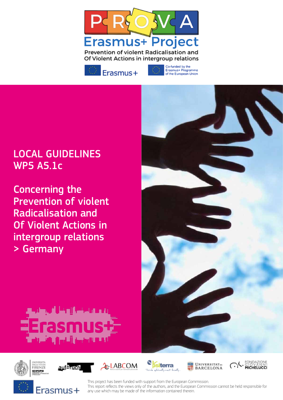



Co-funded by the Erasmus+ Programme<br>of the European Union

# LOCAL GUIDELINES WP5 A5.1c

Concerning the Prevention of violent Radicalisation and Of Violent Actions in intergroup relations > Germany

















This project has been funded with support from the European Commission. This report refects the views only of the authors, and the European Commission cannot be held responsible for any use which may be made of the information contained therein.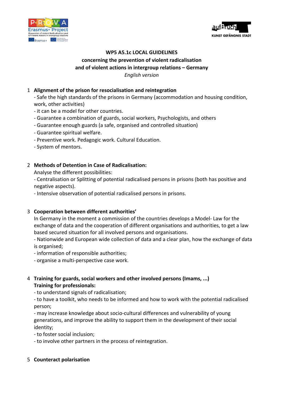



# **WP5 A5.1c LOCAL GUIDELINES**  concerning the prevention of violent radicalisation and of violent actions in intergroup relations – Germany

*English version*

### 1 Alignment of the prison for resocialisation and reintegration

- Safe the high standards of the prisons in Germany (accommodation and housing condition, work, other activities)

- it can be a model for other countries.
- Guarantee a combination of guards, social workers, Psychologists, and others
- Guarantee enough guards (a safe, organised and controlled situation)
- Guarantee spiritual welfare.
- Preventive work. Pedagogic work. Cultural Education.
- System of mentors.

# 2 Methods of Detention in Case of Radicalisation:

Analyse the different possibilities:

- Centralisation or Splitting of potential radicalised persons in prisons (both has positive and negative aspects).

- Intensive observation of potential radicalised persons in prisons.

# 3 **Cooperation between different authorities'**

In Germany in the moment a commission of the countries develops a Model- Law for the exchange of data and the cooperation of different organisations and authorities, to get a law based secured situation for all involved persons and organisations.

- Nationwide and European wide collection of data and a clear plan, how the exchange of data is organised;

- information of responsible authorities;

- organise a multi-perspective case work.

# 4 Training for guards, social workers and other involved persons (Imams, ...) **Training for professionals:**

- to understand signals of radicalisation;

- to have a toolkit, who needs to be informed and how to work with the potential radicalised person;

- may increase knowledge about socio-cultural differences and vulnerability of young generations, and improve the ability to support them in the development of their social identity;

- to foster social inclusion;

- to involve other partners in the process of reintegration.

#### 5 **Counteract polarisation**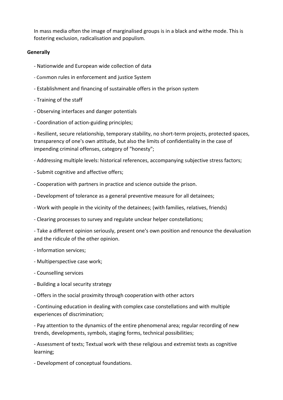In mass media often the image of marginalised groups is in a black and withe mode. This is fostering exclusion, radicalisation and populism.

#### **Generally**

- Nationwide and European wide collection of data
- Common rules in enforcement and justice System
- Establishment and financing of sustainable offers in the prison system
- Training of the staff
- Observing interfaces and danger potentials
- Coordination of action-guiding principles:

- Resilient, secure relationship, temporary stability, no short-term projects, protected spaces, transparency of one's own attitude, but also the limits of confidentiality in the case of impending criminal offenses, category of "honesty";

- Addressing multiple levels: historical references, accompanying subjective stress factors;

- Submit cognitive and affective offers;
- Cooperation with partners in practice and science outside the prison.
- Development of tolerance as a general preventive measure for all detainees;
- Work with people in the vicinity of the detainees; (with families, relatives, friends)
- Clearing processes to survey and regulate unclear helper constellations;

- Take a different opinion seriously, present one's own position and renounce the devaluation and the ridicule of the other opinion.

- Information services:
- Multiperspective case work;
- Counselling services
- Building a local security strategy
- Offers in the social proximity through cooperation with other actors

- Continuing education in dealing with complex case constellations and with multiple experiences of discrimination;

- Pay attention to the dynamics of the entire phenomenal area; regular recording of new trends, developments, symbols, staging forms, technical possibilities;

- Assessment of texts; Textual work with these religious and extremist texts as cognitive learning; 

- Development of conceptual foundations.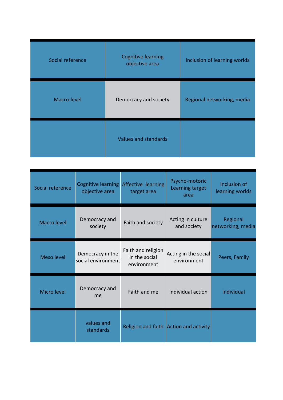| Social reference | <b>Cognitive learning</b><br>objective area | Inclusion of learning worlds |
|------------------|---------------------------------------------|------------------------------|
| Macro-level      | Democracy and society                       | Regional networking, media   |
|                  | Values and standards                        |                              |

| Social reference   | Cognitive learning Affective learning<br>objective area | target area                                        | Psycho-motoric<br>Learning target<br>area | Inclusion of<br>learning worlds |
|--------------------|---------------------------------------------------------|----------------------------------------------------|-------------------------------------------|---------------------------------|
| <b>Macro level</b> | Democracy and<br>society                                | Faith and society                                  | Acting in culture<br>and society          | Regional<br>networking, media   |
| Meso level         | Democracy in the<br>social environment                  | Faith and religion<br>in the social<br>environment | Acting in the social<br>environment       | Peers, Family                   |
| Micro level        | Democracy and<br>me                                     | Faith and me                                       | Individual action                         | Individual                      |
|                    | values and<br>standards                                 |                                                    | Religion and faith Action and activity    |                                 |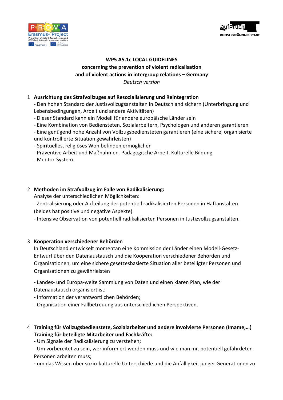



## WP5 A5.1c LOCAL GUIDELINES concerning the prevention of violent radicalisation and of violent actions in intergroup relations – Germany *Deutsch version*

#### 1 **Ausrichtung des Strafvollzuges auf Resozialisierung und Reintegration**

- Den hohen Standard der Justizvollzugsanstalten in Deutschland sichern (Unterbringung und Lebensbedingungen, Arbeit und andere Aktivitäten)

- Dieser Standard kann ein Modell für andere europäische Länder sein
- Eine Kombination von Bediensteten, Sozialarbeitern, Psychologen und anderen garantieren
- Eine genügend hohe Anzahl von Vollzugsbediensteten garantieren (eine sichere, organisierte und kontrollierte Situation gewährleisten)
- Spirituelles, religiöses Wohlbefinden ermöglichen
- Präventive Arbeit und Maßnahmen. Pädagogische Arbeit. Kulturelle Bildung
- Mentor-System.

#### 2 Methoden im Strafvollzug im Falle von Radikalisierung:

Analyse der unterschiedlichen Möglichkeiten:

- Zentralisierung oder Aufteilung der potentiell radikalisierten Personen in Haftanstalten (beides hat positive und negative Aspekte).

- Intensive Observation von potentiell radikalisierten Personen in Justizvollzugsanstalten.

#### 3 **Kooperation verschiedener Behörden**

In Deutschland entwickelt momentan eine Kommission der Länder einen Modell-Gesetz-Entwurf über den Datenaustausch und die Kooperation verschiedener Behörden und Organisationen, um eine sichere gesetzesbasierte Situation aller beteiligter Personen und Organisationen zu gewährleisten

- Landes- und Europa-weite Sammlung von Daten und einen klaren Plan, wie der Datenaustausch organisiert ist;

- Information der verantwortlichen Behörden:
- Organisation einer Fallbetreuung aus unterschiedlichen Perspektiven.

#### 4 Training für Vollzugsbedienstete, Sozialarbeiter und andere involvierte Personen (Imame,...) **Training für beteiligte Mitarbeiter und Fachkräfte:**

- Um Signale der Radikalisierung zu verstehen;

- Um vorbereitet zu sein, wer informiert werden muss und wie man mit potentiell gefährdeten Personen arbeiten muss;

**-** um das Wissen über sozio-kulturelle Unterschiede und die Anfälligkeit junger Generationen zu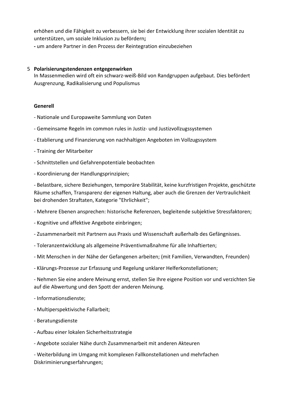erhöhen und die Fähigkeit zu verbessern, sie bei der Entwicklung ihrer sozialen Identität zu unterstützen, um soziale Inklusion zu befördern**; -** um andere Partner in den Prozess der Reintegration einzubeziehen

#### 5 **Polarisierungstendenzen entgegenwirken**

In Massenmedien wird oft ein schwarz-weiß-Bild von Randgruppen aufgebaut. Dies befördert Ausgrenzung, Radikalisierung und Populismus

#### **Generell**

- Nationale und Europaweite Sammlung von Daten
- Gemeinsame Regeln im common rules in Justiz- und Justizvollzugssystemen
- Etablierung und Finanzierung von nachhaltigen Angeboten im Vollzugssystem
- Training der Mitarbeiter
- Schnittstellen und Gefahrenpotentiale beobachten
- Koordinierung der Handlungsprinzipien;

- Belastbare, sichere Beziehungen, temporäre Stabilität, keine kurzfristigen Projekte, geschützte Räume schaffen, Transparenz der eigenen Haltung, aber auch die Grenzen der Vertraulichkeit bei drohenden Straftaten, Kategorie "Ehrlichkeit";

- Mehrere Ebenen ansprechen: historische Referenzen, begleitende subjektive Stressfaktoren;
- Kognitive und affektive Angebote einbringen;
- Zusammenarbeit mit Partnern aus Praxis und Wissenschaft außerhalb des Gefängnisses.
- Toleranzentwicklung als allgemeine Präventivmaßnahme für alle Inhaftierten;
- Mit Menschen in der Nähe der Gefangenen arbeiten; (mit Familien, Verwandten, Freunden)
- Klärungs-Prozesse zur Erfassung und Regelung unklarer Helferkonstellationen;

- Nehmen Sie eine andere Meinung ernst, stellen Sie Ihre eigene Position vor und verzichten Sie auf die Abwertung und den Spott der anderen Meinung.

- Informationsdienste;
- Multiperspektivische Fallarbeit;
- Beratungsdienste
- Aufbau einer lokalen Sicherheitsstrategie

- Angebote sozialer Nähe durch Zusammenarbeit mit anderen Akteuren

- Weiterbildung im Umgang mit komplexen Fallkonstellationen und mehrfachen Diskriminierungserfahrungen;